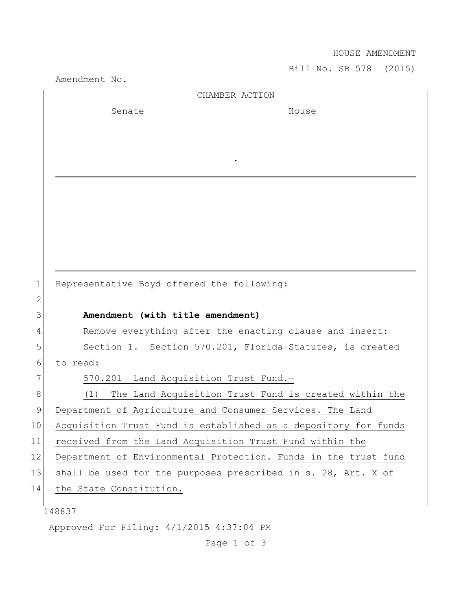HOUSE AMENDMENT

Bill No. SB 578 (2015)

|              | Amendment No.                                                   | BIII NO. SB 578 (ZUIS) |
|--------------|-----------------------------------------------------------------|------------------------|
|              | CHAMBER ACTION                                                  |                        |
|              | Senate                                                          | House                  |
|              |                                                                 |                        |
|              |                                                                 |                        |
|              |                                                                 |                        |
|              |                                                                 |                        |
|              |                                                                 |                        |
|              |                                                                 |                        |
|              |                                                                 |                        |
|              |                                                                 |                        |
|              |                                                                 |                        |
|              |                                                                 |                        |
| $\mathbf 1$  | Representative Boyd offered the following:                      |                        |
| $\mathbf{2}$ |                                                                 |                        |
| 3            | Amendment (with title amendment)                                |                        |
| 4            | Remove everything after the enacting clause and insert:         |                        |
| 5            | Section 1. Section 570.201, Florida Statutes, is created        |                        |
| 6            | to read:                                                        |                        |
| 7            | Land Acquisition Trust Fund.-<br>570.201                        |                        |
| 8            | The Land Acquisition Trust Fund is created within the<br>(1)    |                        |
| 9            | Department of Agriculture and Consumer Services. The Land       |                        |
| 10           | Acquisition Trust Fund is established as a depository for funds |                        |
| 11           | received from the Land Acquisition Trust Fund within the        |                        |
| 12           | Department of Environmental Protection. Funds in the trust fund |                        |
| 13           | shall be used for the purposes prescribed in s. 28, Art. X of   |                        |
| 14           | the State Constitution.                                         |                        |
|              |                                                                 |                        |
|              | 148837                                                          |                        |
|              | Approved For Filing: 4/1/2015 4:37:04 PM                        |                        |

Page 1 of 3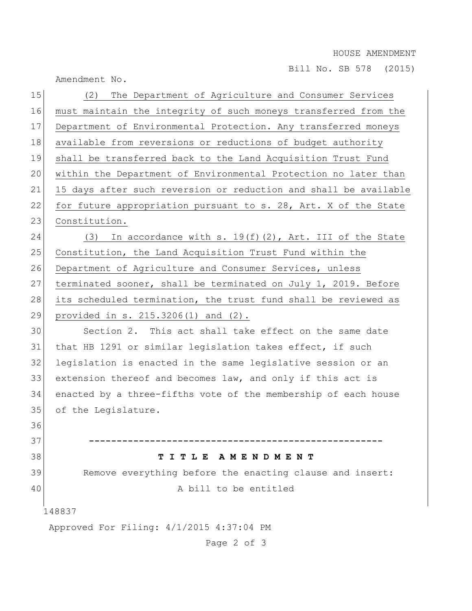## HOUSE AMENDMENT

Bill No. SB 578 (2015)

Amendment No.

| 15                                       | The Department of Agriculture and Consumer Services<br>(2)       |  |  |
|------------------------------------------|------------------------------------------------------------------|--|--|
| 16                                       | must maintain the integrity of such moneys transferred from the  |  |  |
| 17                                       | Department of Environmental Protection. Any transferred moneys   |  |  |
| 18                                       | available from reversions or reductions of budget authority      |  |  |
| 19                                       | shall be transferred back to the Land Acquisition Trust Fund     |  |  |
| 20                                       | within the Department of Environmental Protection no later than  |  |  |
| 21                                       | 15 days after such reversion or reduction and shall be available |  |  |
| 22                                       | for future appropriation pursuant to s. 28, Art. X of the State  |  |  |
| 23                                       | Constitution.                                                    |  |  |
| 24                                       | In accordance with s. $19(f)(2)$ , Art. III of the State<br>(3)  |  |  |
| 25                                       | Constitution, the Land Acquisition Trust Fund within the         |  |  |
| 26                                       | Department of Agriculture and Consumer Services, unless          |  |  |
| 27                                       | terminated sooner, shall be terminated on July 1, 2019. Before   |  |  |
| 28                                       | its scheduled termination, the trust fund shall be reviewed as   |  |  |
| 29                                       | provided in s. $215.3206(1)$ and $(2)$ .                         |  |  |
| 30                                       | Section 2. This act shall take effect on the same date           |  |  |
| 31                                       | that HB 1291 or similar legislation takes effect, if such        |  |  |
| 32                                       | legislation is enacted in the same legislative session or an     |  |  |
| 33                                       | extension thereof and becomes law, and only if this act is       |  |  |
| 34                                       | enacted by a three-fifths vote of the membership of each house   |  |  |
| 35                                       | of the Legislature.                                              |  |  |
| 36                                       |                                                                  |  |  |
| 37                                       |                                                                  |  |  |
| 38                                       | TITLE AMENDMENT                                                  |  |  |
| 39                                       | Remove everything before the enacting clause and insert:         |  |  |
| 40                                       | A bill to be entitled                                            |  |  |
| 148837                                   |                                                                  |  |  |
| Approved For Filing: 4/1/2015 4:37:04 PM |                                                                  |  |  |
|                                          | Page 2 of 3                                                      |  |  |
|                                          |                                                                  |  |  |